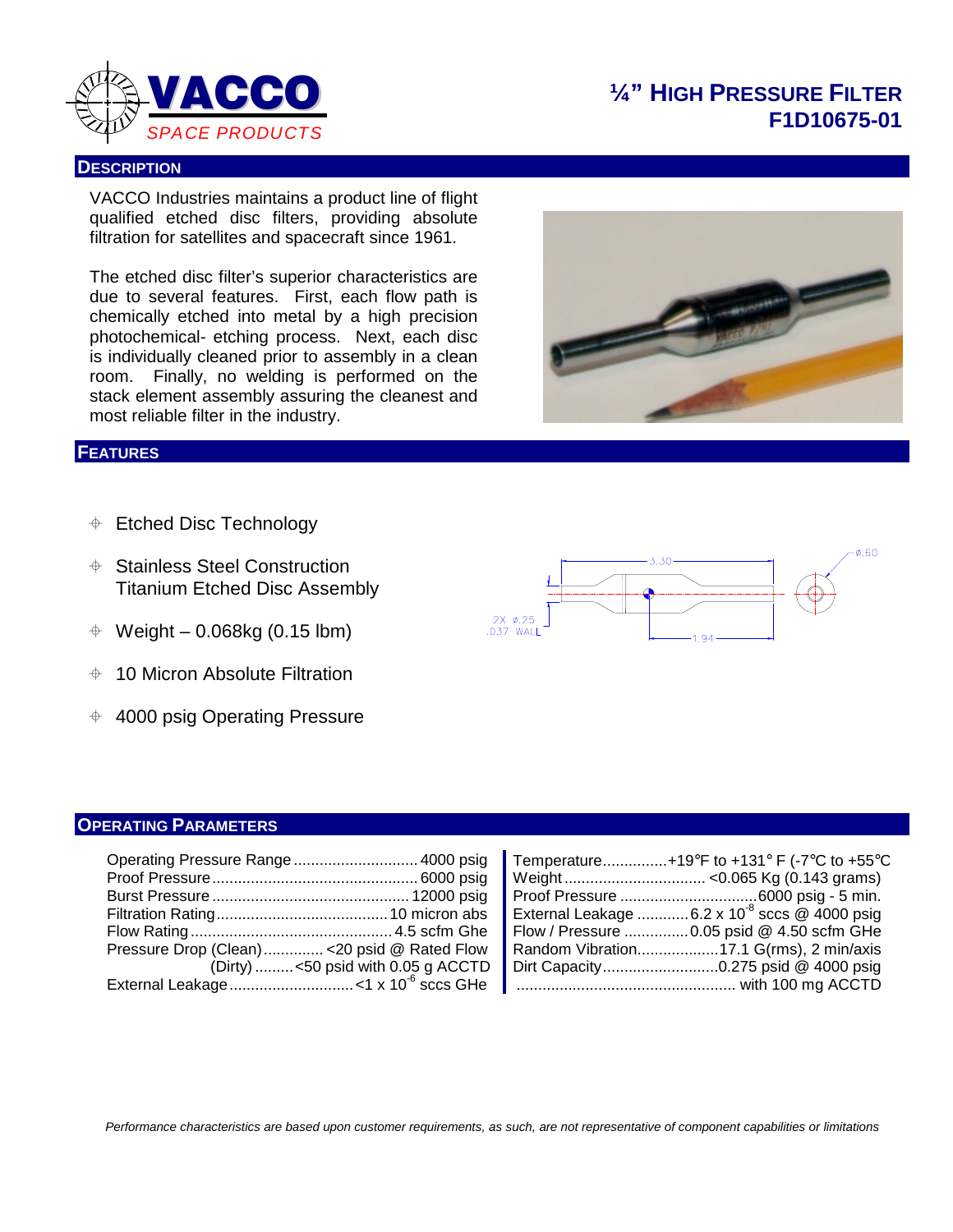

## **¼" HIGH PRESSURE FILTER F1D10675-01**

#### **DESCRIPTION**

VACCO Industries maintains a product line of flight qualified etched disc filters, providing absolute filtration for satellites and spacecraft since 1961.

The etched disc filter's superior characteristics are due to several features. First, each flow path is chemically etched into metal by a high precision photochemical- etching process. Next, each disc is individually cleaned prior to assembly in a clean room. Finally, no welding is performed on the stack element assembly assuring the cleanest and most reliable filter in the industry.

#### **FEATURES**

- $\div$  Etched Disc Technology
- Stainless Steel Construction Titanium Etched Disc Assembly
- $\div$  Weight 0.068kg (0.15 lbm)
- 10 Micron Absolute Filtration
- $\div$  4000 psig Operating Pressure





#### **OPERATING PARAMETERS**

|                                               |                                      | Flow / Pressure  0.05 psid @ 4.50 scfm GHe |
|-----------------------------------------------|--------------------------------------|--------------------------------------------|
| Pressure Drop (Clean)  < 20 psid @ Rated Flow |                                      | Random Vibration17.1 G(rms), 2 min/axis    |
|                                               | $(Dirty)$ <50 psid with 0.05 g ACCTD |                                            |
|                                               |                                      |                                            |
|                                               |                                      |                                            |

|                                             |                                      | Operating Pressure Range ………………………… 4000 psig   Temperature……………+19°F to +131° F (-7°C to +55°C                  |
|---------------------------------------------|--------------------------------------|------------------------------------------------------------------------------------------------------------------|
|                                             |                                      |                                                                                                                  |
|                                             |                                      |                                                                                                                  |
|                                             |                                      | External Leakage  6.2 x 10 <sup>-8</sup> sccs @ 4000 psig                                                        |
|                                             |                                      | Flow / Pressure  0.05 psid $@$ 4.50 scfm GHe                                                                     |
| Pressure Drop (Clean)< 20 psid @ Rated Flow |                                      | Random Vibration17.1 G(rms), 2 min/axis                                                                          |
|                                             | $(Dirty)$ <50 psid with 0.05 g ACCTD |                                                                                                                  |
|                                             |                                      | External Leakage…………………………<1 x 10 <sup>-6</sup> sccs GHe <b>National Construct and Section</b> with 100 mg ACCTD |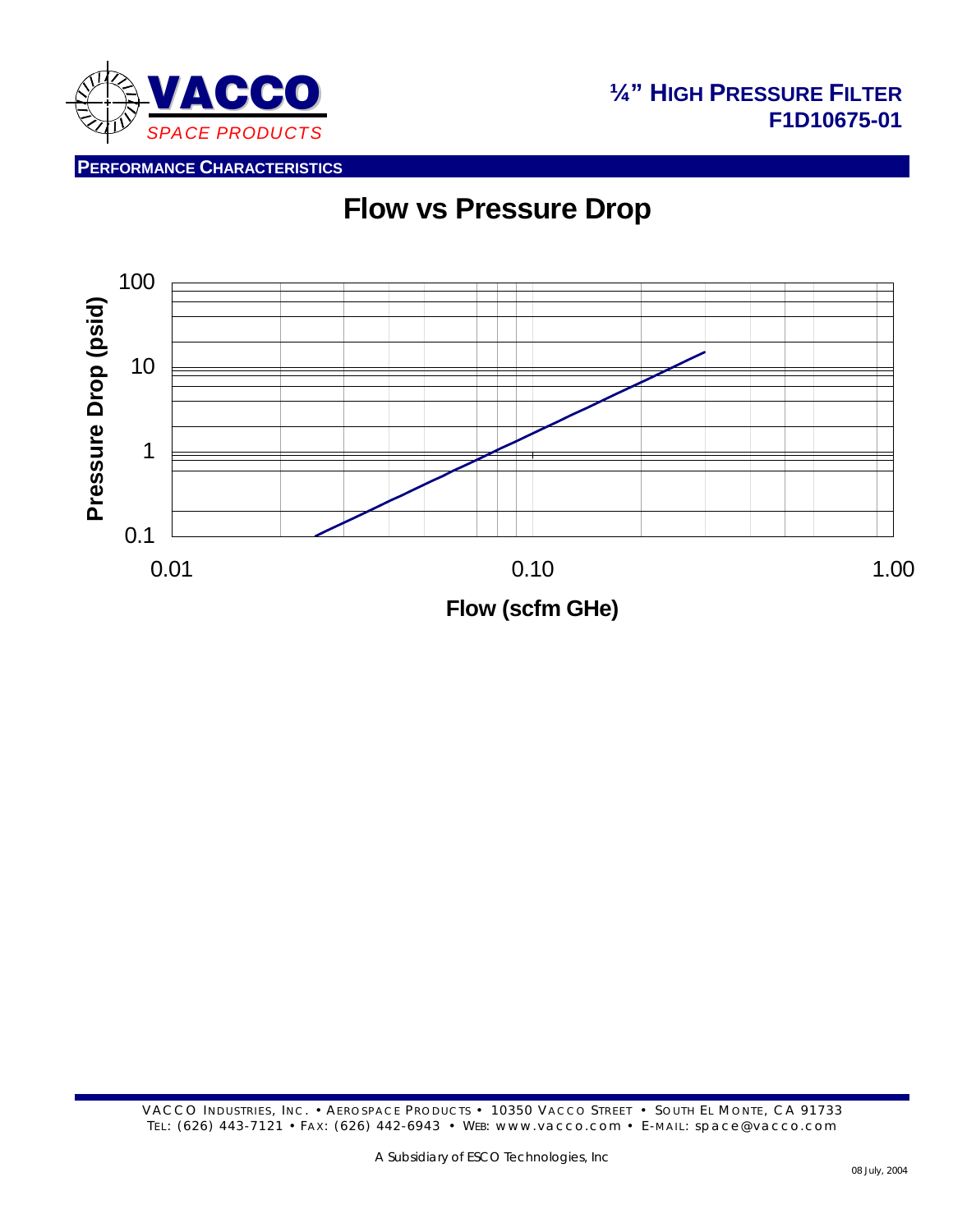

**Flow vs Pressure Drop**

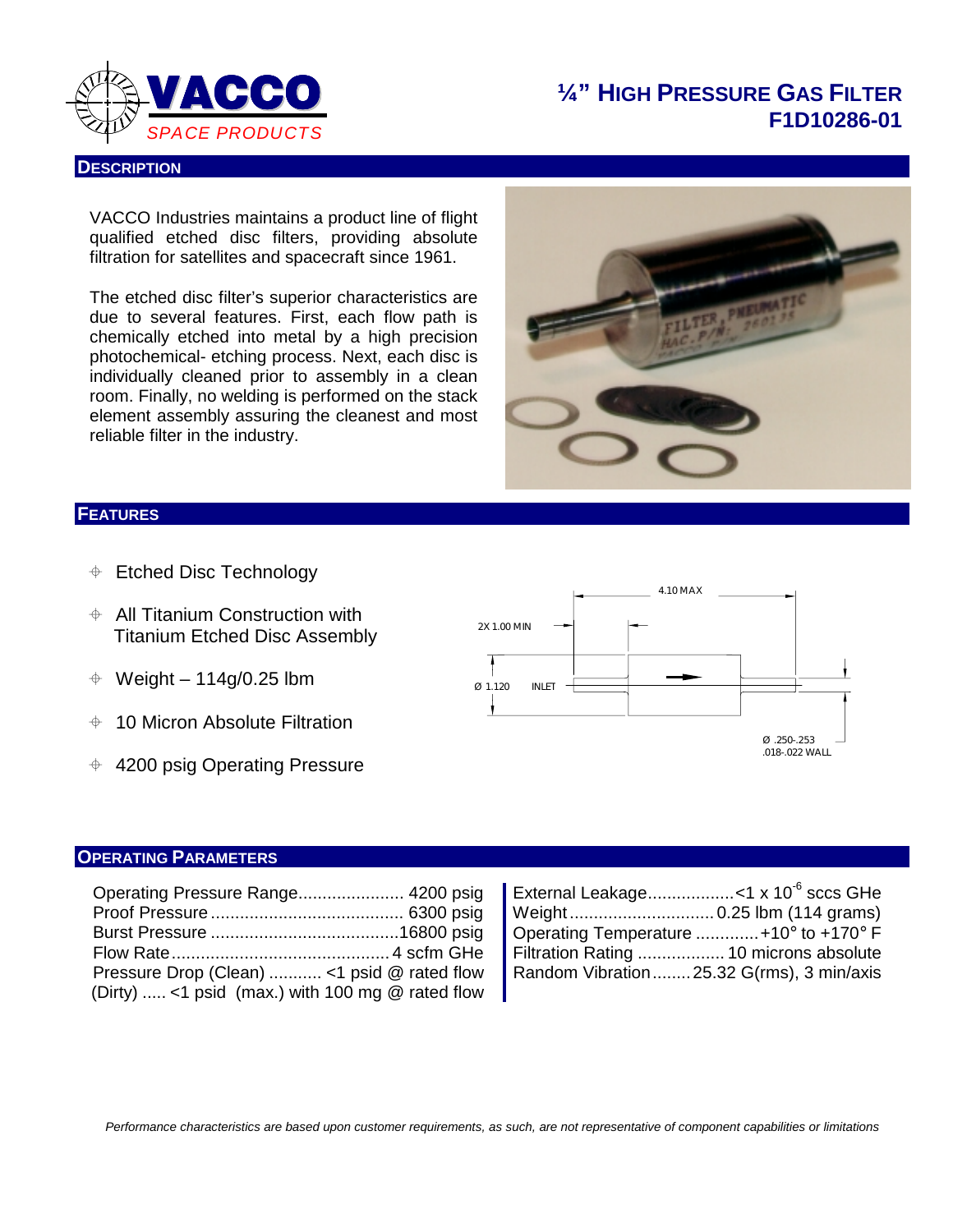

## **¼" HIGH PRESSURE GAS FILTER F1D10286-01**

#### **DESCRIPTION**

VACCO Industries maintains a product line of flight qualified etched disc filters, providing absolute filtration for satellites and spacecraft since 1961.

The etched disc filter's superior characteristics are due to several features. First, each flow path is chemically etched into metal by a high precision photochemical- etching process. Next, each disc is individually cleaned prior to assembly in a clean room. Finally, no welding is performed on the stack element assembly assuring the cleanest and most reliable filter in the industry.



#### **FEATURES**

- $\div$  Etched Disc Technology
- $\triangleq$  All Titanium Construction with Titanium Etched Disc Assembly
- $\div$  Weight 114g/0.25 lbm
- $+$  10 Micron Absolute Filtration
- $+$  4200 psig Operating Pressure



#### **OPERATING PARAMETERS**

|                                                    | Operating Temperature +10 $\textdegree$ to +170 $\textdegree$ F |
|----------------------------------------------------|-----------------------------------------------------------------|
|                                                    | Filtration Rating  10 microns absolute                          |
| Pressure Drop (Clean)  <1 psid @ rated flow        | Random Vibration25.32 G(rms), 3 min/axis                        |
| (Dirty)  <1 psid (max.) with 100 mg $@$ rated flow |                                                                 |

| Operating Pressure Range 4200 psig                 | External Leakage<1 x 10 <sup>-6</sup> sccs GHe          |
|----------------------------------------------------|---------------------------------------------------------|
|                                                    |                                                         |
|                                                    | Operating Temperature +10 $\degree$ to +170 $\degree$ F |
|                                                    | Filtration Rating  10 microns absolute                  |
| Pressure Drop (Clean)  < 1 psid @ rated flow       | Random Vibration25.32 G(rms), 3 min/axis                |
| (Dirty)  <1 psid (max.) with 100 mg $@$ rated flow |                                                         |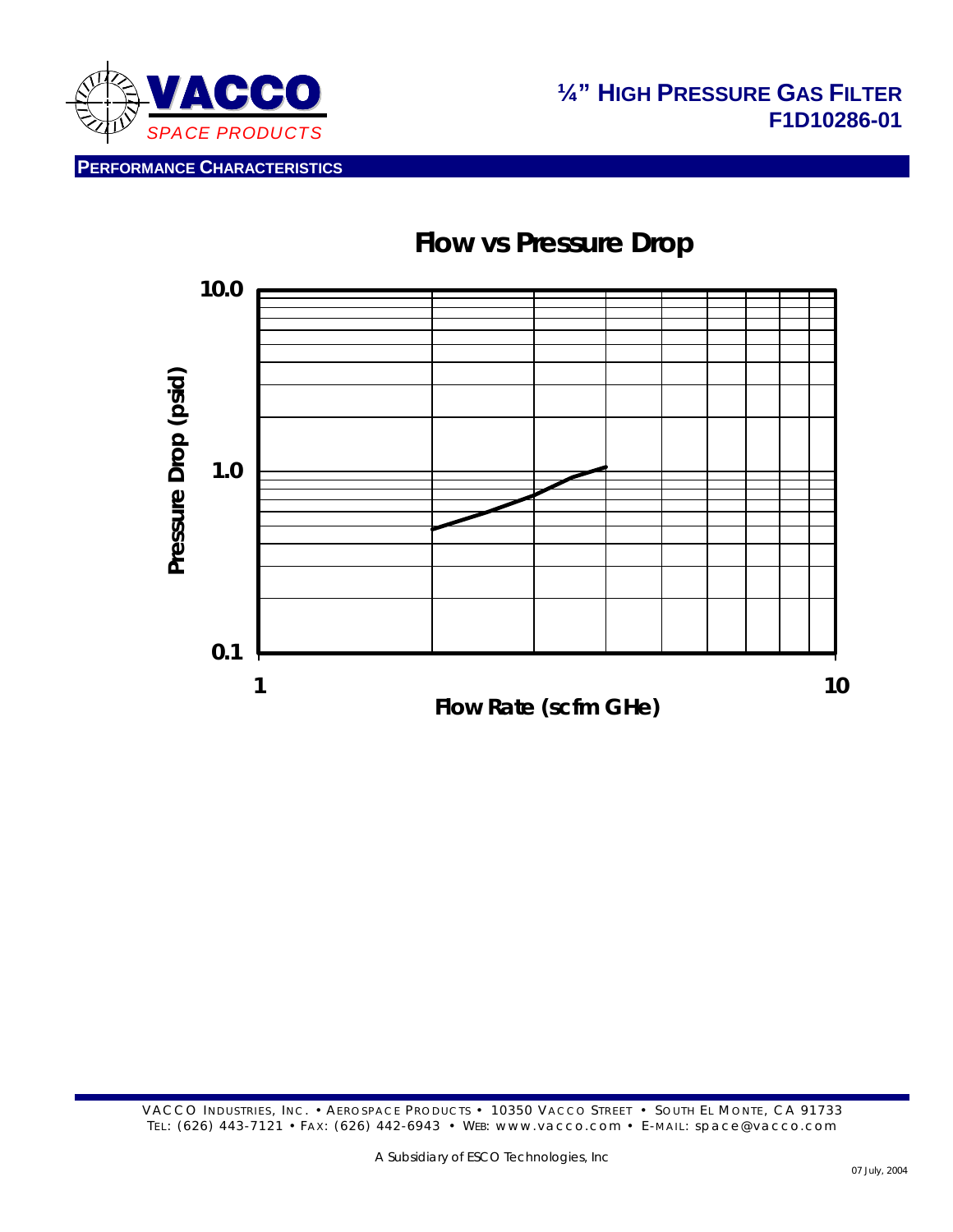



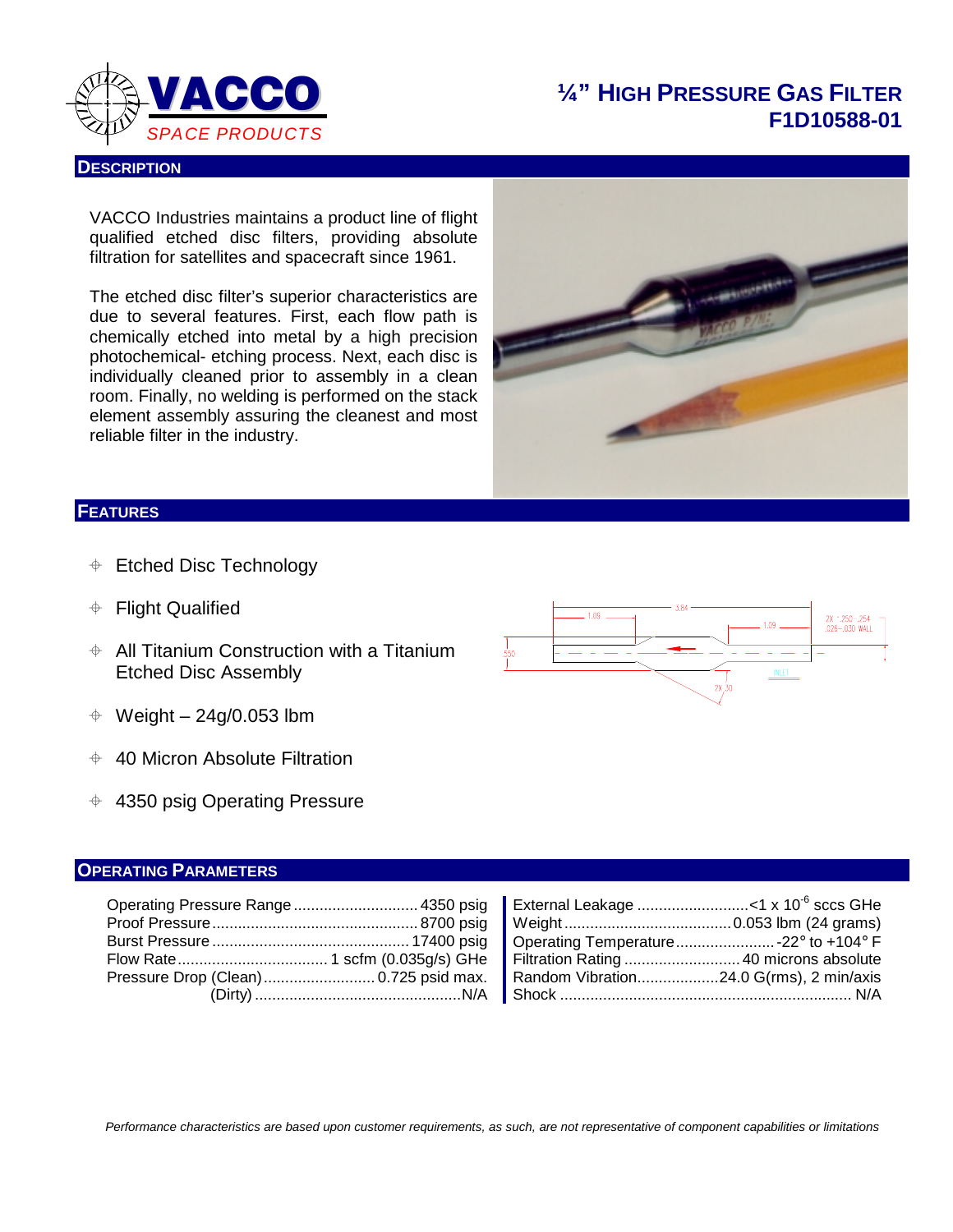

## **¼" HIGH PRESSURE GAS FILTER F1D10588-01**

#### **DESCRIPTION**

VACCO Industries maintains a product line of flight qualified etched disc filters, providing absolute filtration for satellites and spacecraft since 1961.

The etched disc filter's superior characteristics are due to several features. First, each flow path is chemically etched into metal by a high precision photochemical- etching process. Next, each disc is individually cleaned prior to assembly in a clean room. Finally, no welding is performed on the stack element assembly assuring the cleanest and most reliable filter in the industry.



#### **FEATURES**

- Etched Disc Technology
- Flight Qualified
- $\triangleq$  All Titanium Construction with a Titanium Etched Disc Assembly
- $\div$  Weight 24g/0.053 lbm
- **♦ 40 Micron Absolute Filtration**
- $\div$  4350 psig Operating Pressure

#### **OPERATING PARAMETERS**

| Operating Pressure Range ………………………… 4350 psig   External Leakage …………………… <1 x 10 <sup>-6</sup> sccs GHe |  |  |
|----------------------------------------------------------------------------------------------------------|--|--|
|                                                                                                          |  |  |
|                                                                                                          |  |  |
|                                                                                                          |  |  |
| Pressure Drop (Clean)  0.725 psid max. Random Vibration24.0 G(rms), 2 min/axis                           |  |  |
|                                                                                                          |  |  |

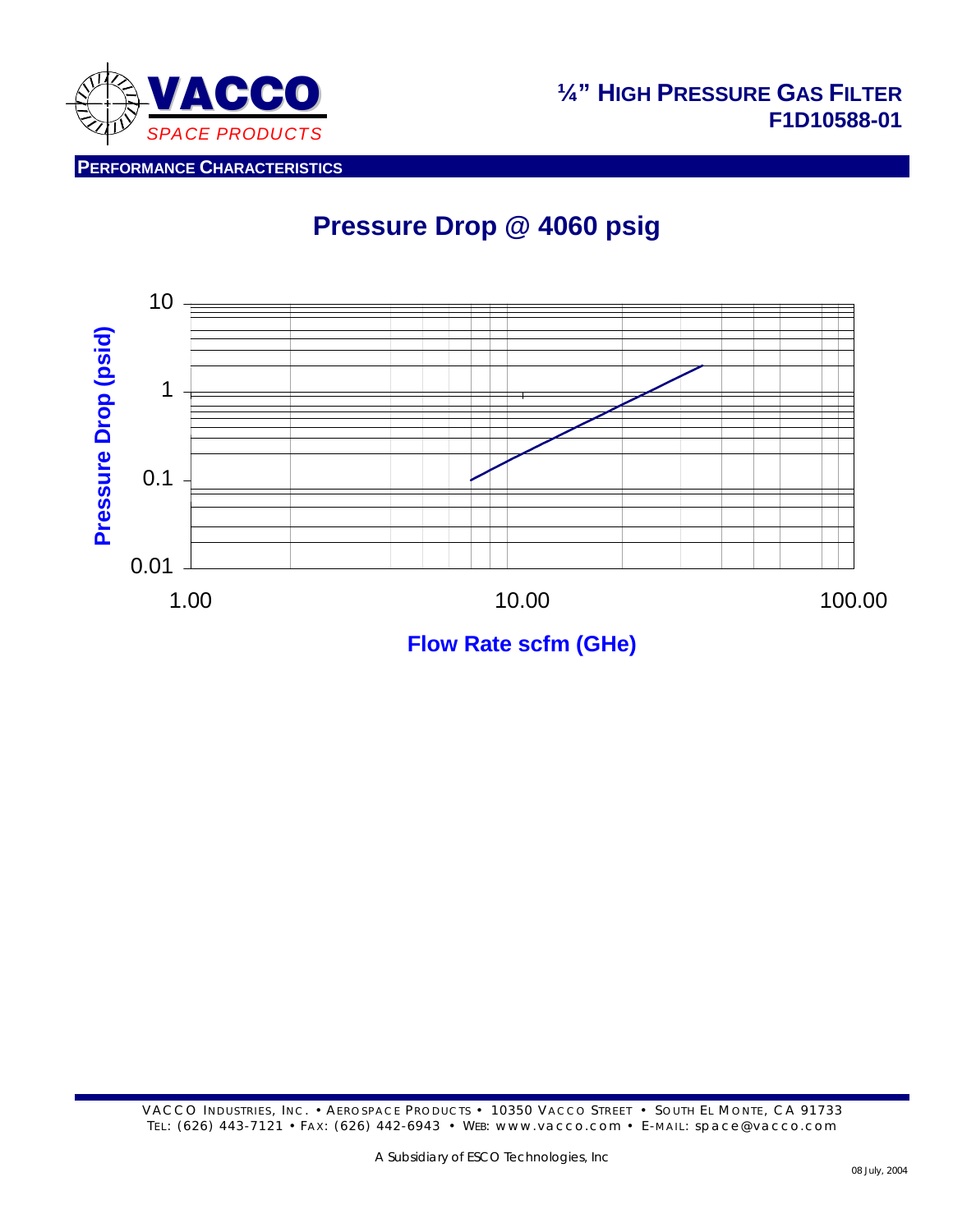

# **Pressure Drop @ 4060 psig**

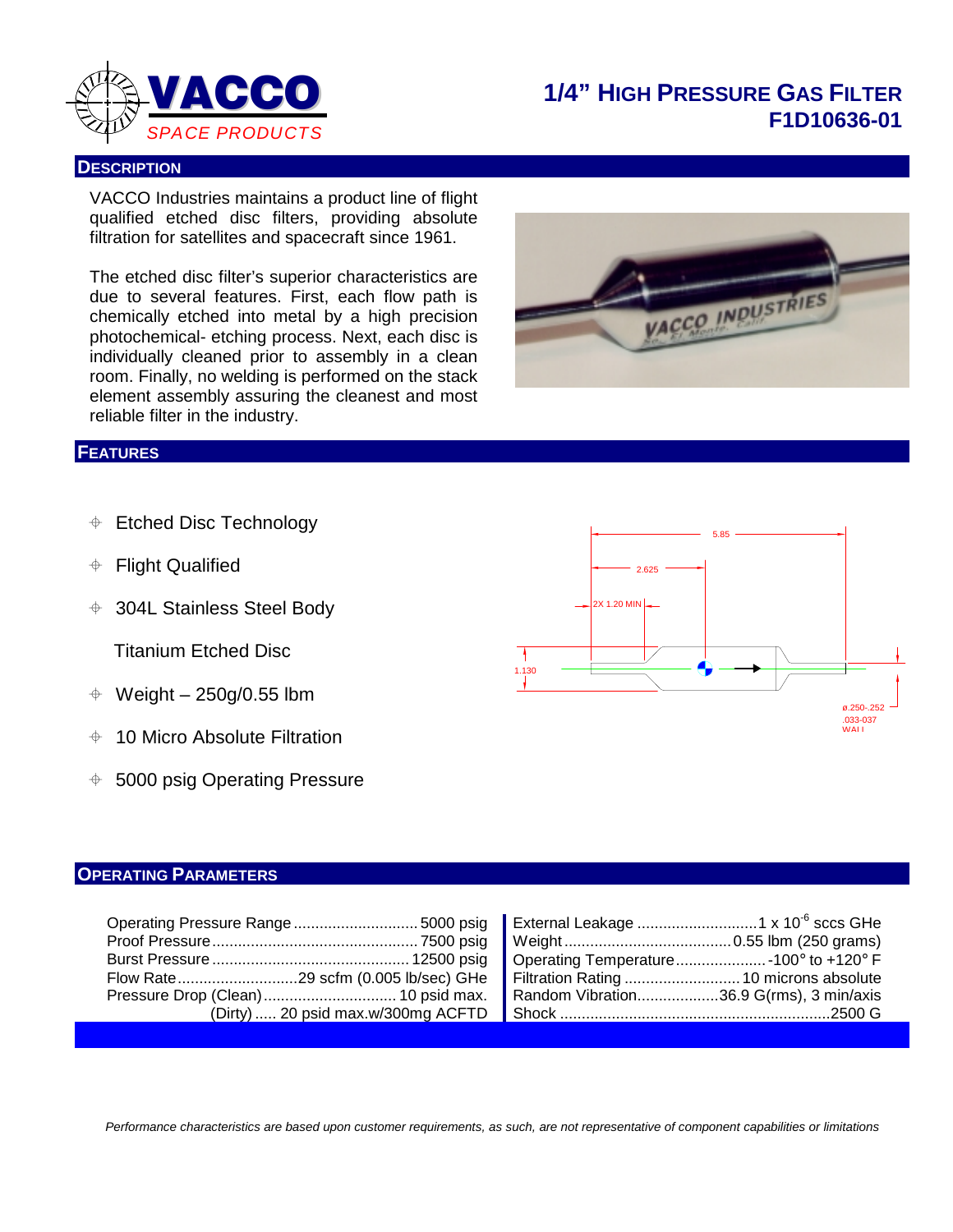

## **1/4" HIGH PRESSURE GAS FILTER F1D10636-01**

#### **DESCRIPTION**

VACCO Industries maintains a product line of flight qualified etched disc filters, providing absolute filtration for satellites and spacecraft since 1961.

The etched disc filter's superior characteristics are due to several features. First, each flow path is chemically etched into metal by a high precision photochemical- etching process. Next, each disc is individually cleaned prior to assembly in a clean room. Finally, no welding is performed on the stack element assembly assuring the cleanest and most reliable filter in the industry.

#### **FEATURES**

- **← Etched Disc Technology**
- Flight Qualified
- 304L Stainless Steel Body

Titanium Etched Disc

- $\div$  Weight 250g/0.55 lbm
- 10 Micro Absolute Filtration
- $\div$  5000 psig Operating Pressure



#### **OPERATING PARAMETERS**

|  | Operating Temperature100° to +120° F    |
|--|-----------------------------------------|
|  |                                         |
|  | Random Vibration36.9 G(rms), 3 min/axis |
|  |                                         |

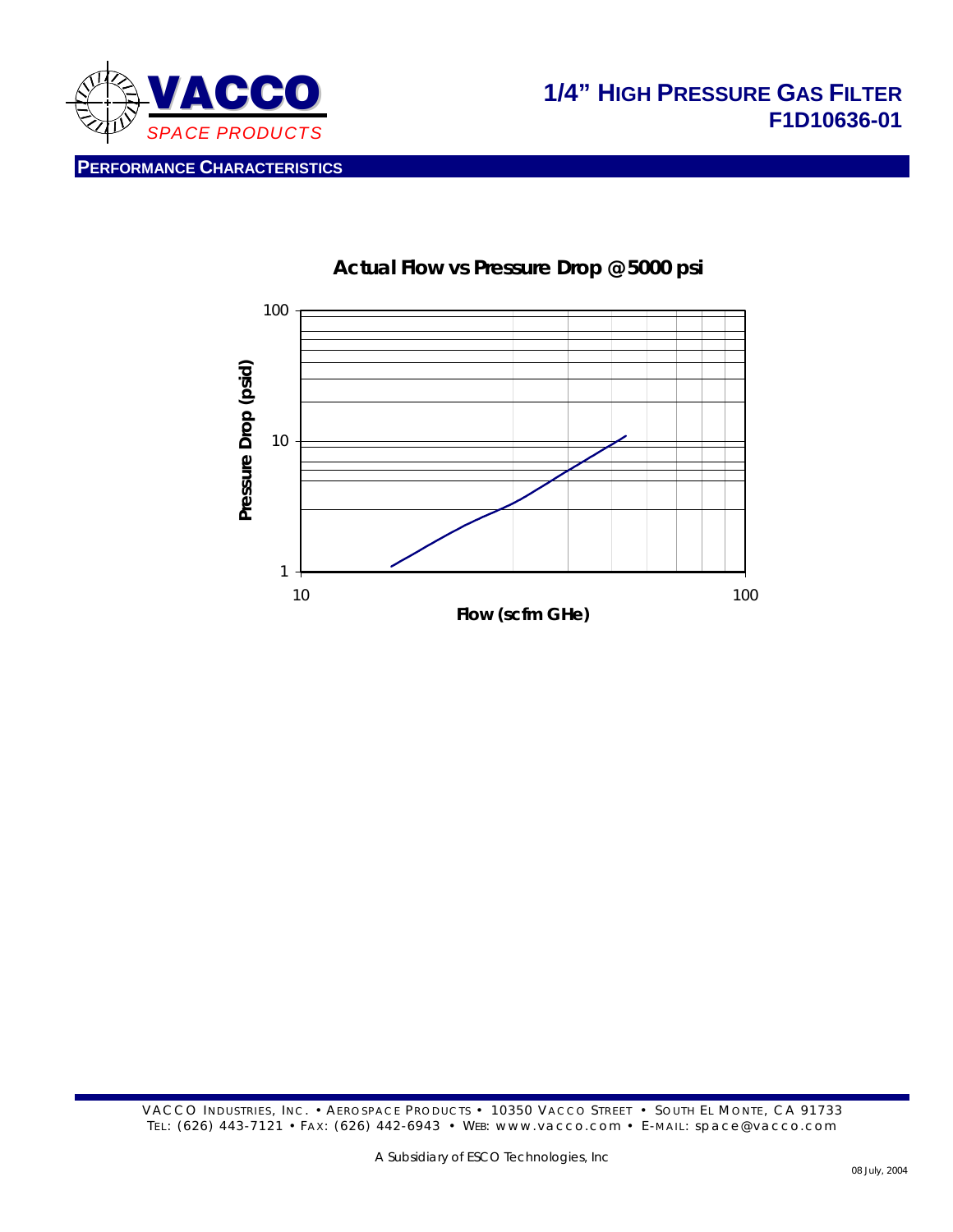



### **Actual Flow vs Pressure Drop @ 5000 psi**

VACCO INDUSTRIES, INC. • AEROSPACE PRODUCTS • 10350 VACCO STREET • SOUTH EL MONTE, CA 91733 TEL: (626) 443-7121 • FAX: (626) 442-6943 • WEB: www.vacco.com • E-MAIL: space@vacco.com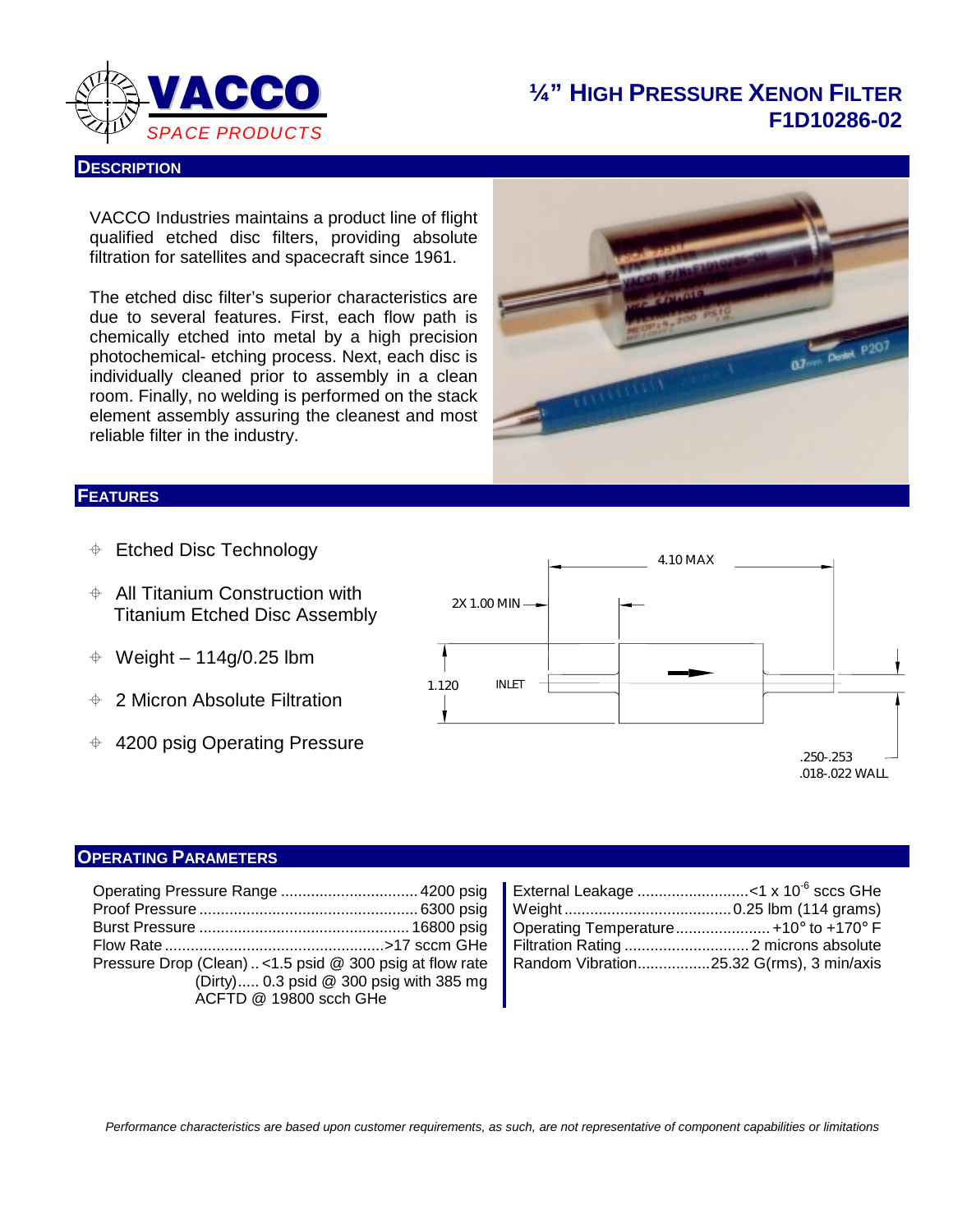

## **¼" HIGH PRESSURE XENON FILTER F1D10286-02**

#### **DESCRIPTION**

VACCO Industries maintains a product line of flight qualified etched disc filters, providing absolute filtration for satellites and spacecraft since 1961.

The etched disc filter's superior characteristics are due to several features. First, each flow path is chemically etched into metal by a high precision photochemical- etching process. Next, each disc is individually cleaned prior to assembly in a clean room. Finally, no welding is performed on the stack element assembly assuring the cleanest and most reliable filter in the industry.



#### **FEATURES**

- **♦ Etched Disc Technology**
- $\triangleq$  All Titanium Construction with Titanium Etched Disc Assembly
- $\div$  Weight 114g/0.25 lbm
- 2 Micron Absolute Filtration
- $\div$  4200 psig Operating Pressure



#### **OPERATING PARAMETERS**

| Pressure Drop (Clean)  < 1.5 psid @ 300 psig at flow rate   Random Vibration25.32 G(rms), 3 min/axis |                                           |  |
|------------------------------------------------------------------------------------------------------|-------------------------------------------|--|
|                                                                                                      | $(Dirty)$ 0.3 psid @ 300 psig with 385 mg |  |
| ACFTD @ 19800 scch GHe                                                                               |                                           |  |

|  | Operating Pressure Range …………………………… 4200 psig   External Leakage …………………… <1 x 10 <sup>-6</sup> sccs GHe<br>Operating Temperature +10 $\textdegree$ to +170 $\textdegree$ F<br>Pressure Drop (Clean)  <1.5 psid @ 300 psig at flow rate   Random Vibration25.32 G(rms), 3 min/axis |
|--|-------------------------------------------------------------------------------------------------------------------------------------------------------------------------------------------------------------------------------------------------------------------------------------|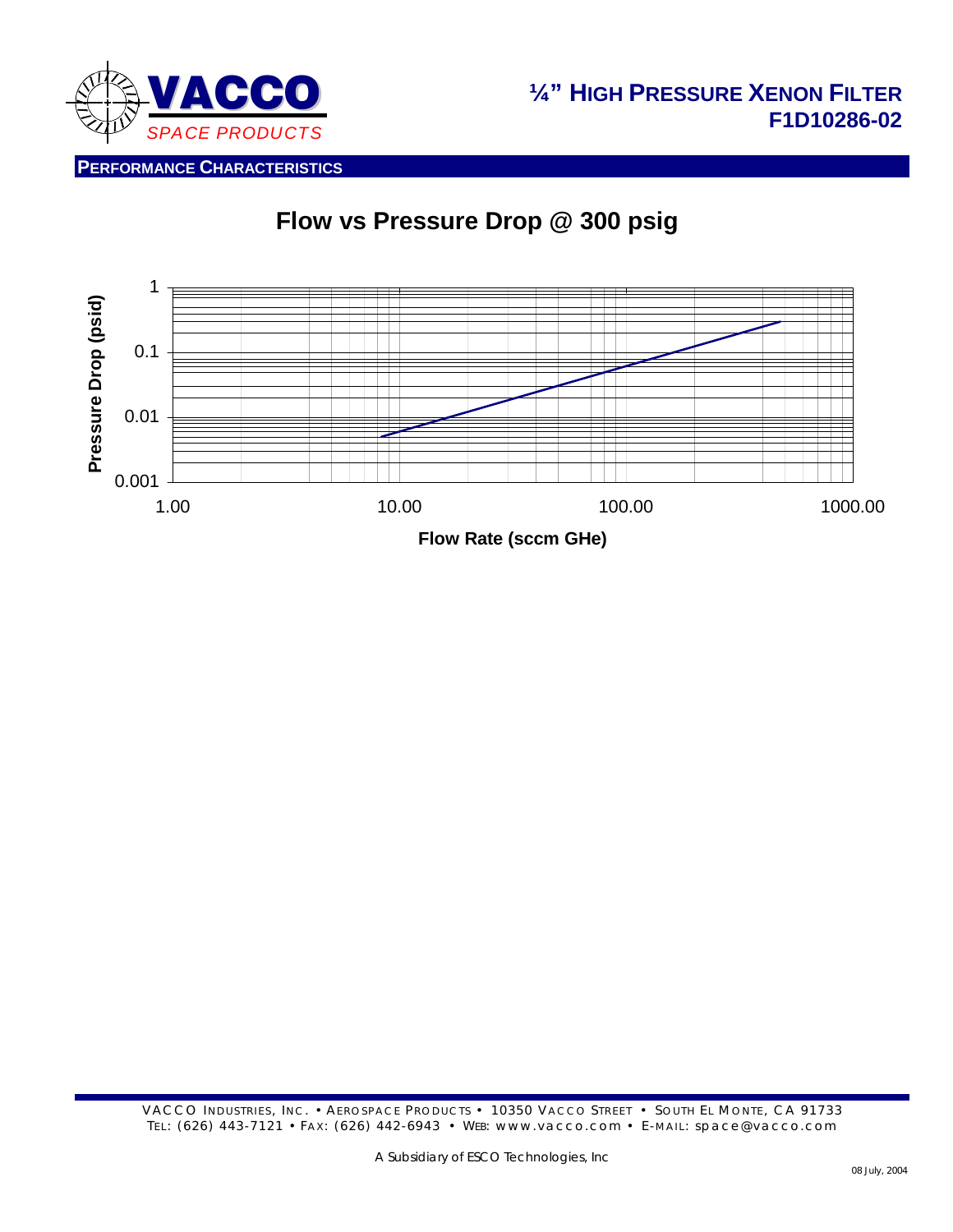





**Flow Rate (sccm GHe)**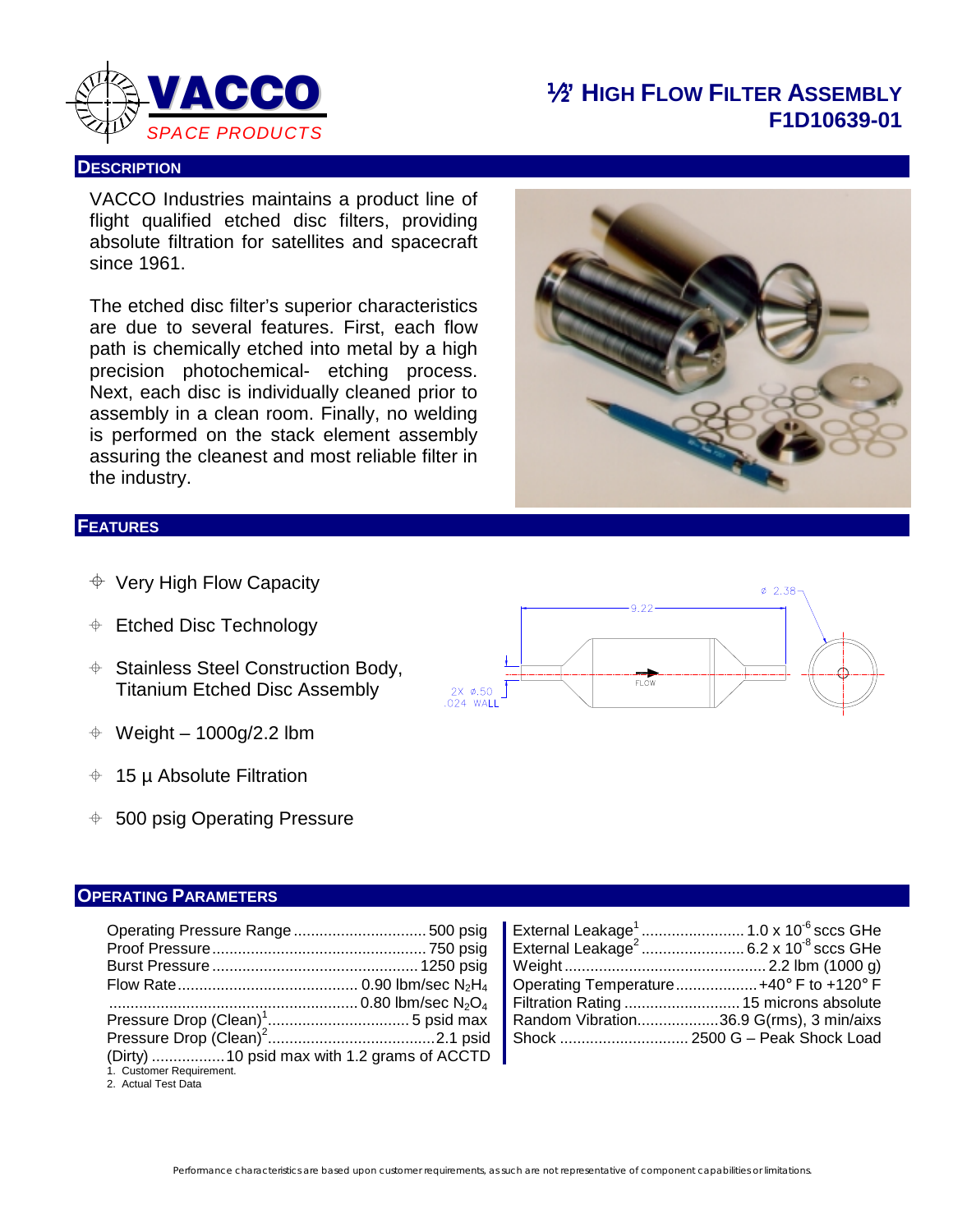

## ½**" HIGH FLOW FILTER ASSEMBLY F1D10639-01**

#### **DESCRIPTION**

VACCO Industries maintains a product line of flight qualified etched disc filters, providing absolute filtration for satellites and spacecraft since 1961.

The etched disc filter's superior characteristics are due to several features. First, each flow path is chemically etched into metal by a high precision photochemical- etching process. Next, each disc is individually cleaned prior to assembly in a clean room. Finally, no welding is performed on the stack element assembly assuring the cleanest and most reliable filter in the industry.



#### **FEATURES**

- $\div$  Very High Flow Capacity
- $\div$  Etched Disc Technology
- $\triangleq$  Stainless Steel Construction Body, Titanium Etched Disc Assembly
- $\div$  Weight 1000g/2.2 lbm
- $\div$  15 µ Absolute Filtration
- $\div$  500 psig Operating Pressure

# $02.38$ 9.22 **FLOW**

#### **OPERATING PARAMETERS**

|                                             |  | Operating Pressure Range 500 psig External Leakage <sup>1</sup> 1.0 x 10 <sup>-6</sup> sccs GHe |
|---------------------------------------------|--|-------------------------------------------------------------------------------------------------|
|                                             |  | External Leakage <sup>2</sup> 6.2 x 10 <sup>-8</sup> sccs GHe                                   |
|                                             |  |                                                                                                 |
|                                             |  | ■ Operating Temperature +40° F to +120° F                                                       |
|                                             |  |                                                                                                 |
|                                             |  | Random Vibration36.9 G(rms), 3 min/aixs                                                         |
|                                             |  |                                                                                                 |
| (Dirty) 10 psid max with 1.2 grams of ACCTD |  |                                                                                                 |
| 1. Customer Requirement.                    |  |                                                                                                 |
| 2. Actual Test Data                         |  |                                                                                                 |

| Operating Pressure Range ……………………………500 psig $\; \; \mid \;$ External Leakage $^1$ ………………………1.0 x 10 $^6$ sccs GHe |  |  |
|--------------------------------------------------------------------------------------------------------------------|--|--|
|                                                                                                                    |  |  |
| Burst Pressure ………………………………………… 1250 psig   Weight……………………………………… 2.2 lbm (1000 g)                                 |  |  |
|                                                                                                                    |  |  |
|                                                                                                                    |  |  |
|                                                                                                                    |  |  |
|                                                                                                                    |  |  |